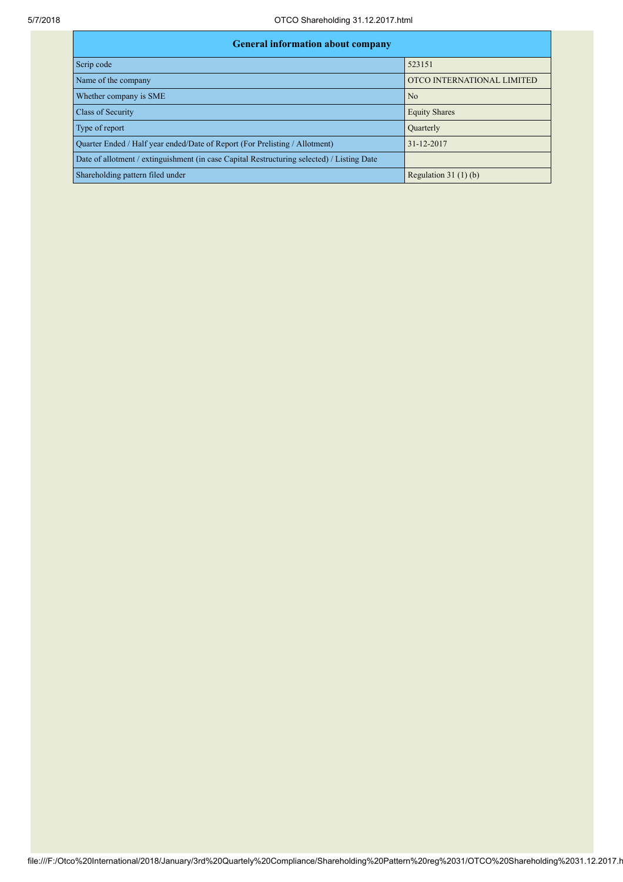| <b>General information about company</b>                                                   |                            |  |  |  |  |  |  |
|--------------------------------------------------------------------------------------------|----------------------------|--|--|--|--|--|--|
| Scrip code                                                                                 | 523151                     |  |  |  |  |  |  |
| Name of the company                                                                        | OTCO INTERNATIONAL LIMITED |  |  |  |  |  |  |
| Whether company is SME                                                                     | N <sub>0</sub>             |  |  |  |  |  |  |
| <b>Class of Security</b>                                                                   | <b>Equity Shares</b>       |  |  |  |  |  |  |
| Type of report                                                                             | Ouarterly                  |  |  |  |  |  |  |
| Quarter Ended / Half year ended/Date of Report (For Prelisting / Allotment)                | 31-12-2017                 |  |  |  |  |  |  |
| Date of allotment / extinguishment (in case Capital Restructuring selected) / Listing Date |                            |  |  |  |  |  |  |
| Shareholding pattern filed under                                                           | Regulation $31(1)(b)$      |  |  |  |  |  |  |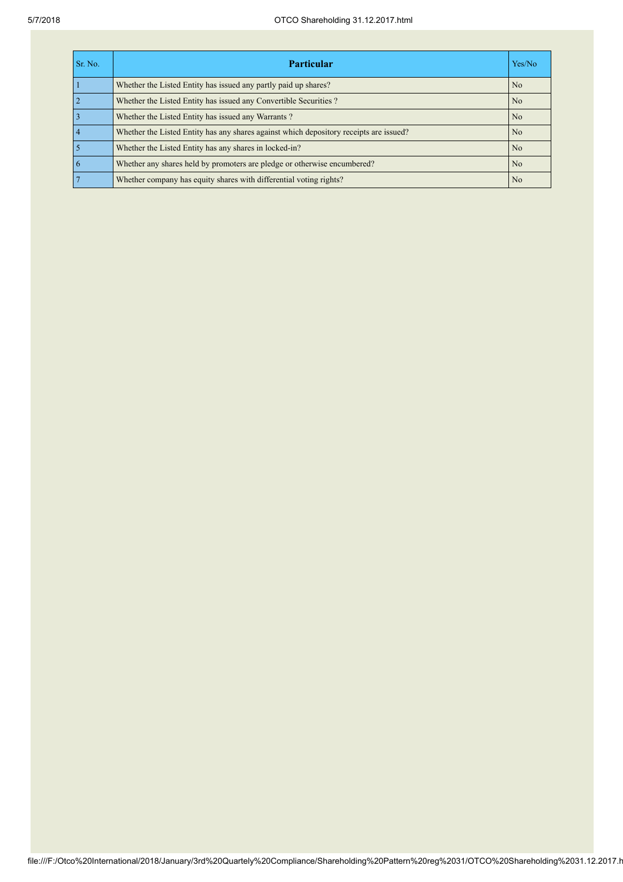| Sr. No. | <b>Particular</b>                                                                      | Yes/No         |
|---------|----------------------------------------------------------------------------------------|----------------|
|         | Whether the Listed Entity has issued any partly paid up shares?                        | N <sub>0</sub> |
|         | Whether the Listed Entity has issued any Convertible Securities?                       | N <sub>o</sub> |
|         | Whether the Listed Entity has issued any Warrants?                                     | N <sub>o</sub> |
|         | Whether the Listed Entity has any shares against which depository receipts are issued? | N <sub>0</sub> |
|         | Whether the Listed Entity has any shares in locked-in?                                 | N <sub>o</sub> |
|         | Whether any shares held by promoters are pledge or otherwise encumbered?               | N <sub>o</sub> |
|         | Whether company has equity shares with differential voting rights?                     | N <sub>0</sub> |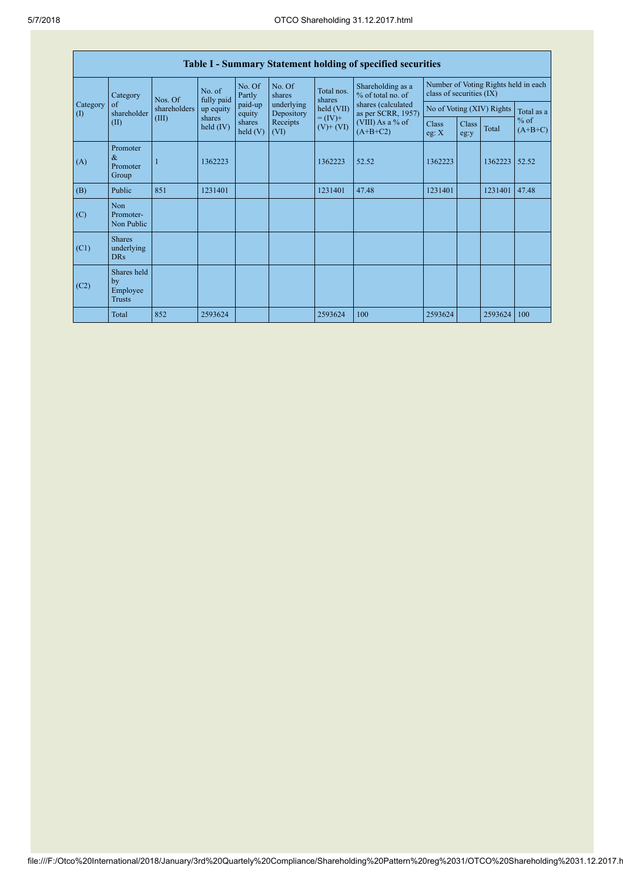| <b>Table I - Summary Statement holding of specified securities</b> |                                                |                      |                       |                   |                                                                                                                                                   |                                        |                                                                  |                |                           |            |                     |
|--------------------------------------------------------------------|------------------------------------------------|----------------------|-----------------------|-------------------|---------------------------------------------------------------------------------------------------------------------------------------------------|----------------------------------------|------------------------------------------------------------------|----------------|---------------------------|------------|---------------------|
| Category                                                           | Nos. Of                                        | No. of<br>fully paid | No. Of<br>Partly      | No. Of<br>shares  | Total nos.<br>shares                                                                                                                              | Shareholding as a<br>% of total no. of | Number of Voting Rights held in each<br>class of securities (IX) |                |                           |            |                     |
| Category<br>$\left( \mathrm{I}\right)$                             | of<br>shareholder                              | shareholders         | up equity             | paid-up<br>equity | underlying<br>held (VII)<br>as per SCRR, 1957)<br>Depository<br>$= (IV) +$<br>(VIII) As a % of<br>Receipts<br>$(V)$ + $(V)$<br>$(A+B+C2)$<br>(VI) | shares (calculated                     |                                                                  |                | No of Voting (XIV) Rights | Total as a |                     |
| (II)                                                               |                                                | (III)                | shares<br>held $(IV)$ | shares<br>held(V) |                                                                                                                                                   |                                        |                                                                  | Class<br>eg: X | Class<br>eg:y             | Total      | $%$ of<br>$(A+B+C)$ |
| (A)                                                                | Promoter<br>&<br>Promoter<br>Group             |                      | 1362223               |                   |                                                                                                                                                   | 1362223                                | 52.52                                                            | 1362223        |                           | 1362223    | 52.52               |
| (B)                                                                | Public                                         | 851                  | 1231401               |                   |                                                                                                                                                   | 1231401                                | 47.48                                                            | 1231401        |                           | 1231401    | 47.48               |
| (C)                                                                | Non<br>Promoter-<br>Non Public                 |                      |                       |                   |                                                                                                                                                   |                                        |                                                                  |                |                           |            |                     |
| (C1)                                                               | <b>Shares</b><br>underlying<br><b>DRs</b>      |                      |                       |                   |                                                                                                                                                   |                                        |                                                                  |                |                           |            |                     |
| (C2)                                                               | Shares held<br>by<br>Employee<br><b>Trusts</b> |                      |                       |                   |                                                                                                                                                   |                                        |                                                                  |                |                           |            |                     |
|                                                                    | Total                                          | 852                  | 2593624               |                   |                                                                                                                                                   | 2593624                                | 100                                                              | 2593624        |                           | 2593624    | 100                 |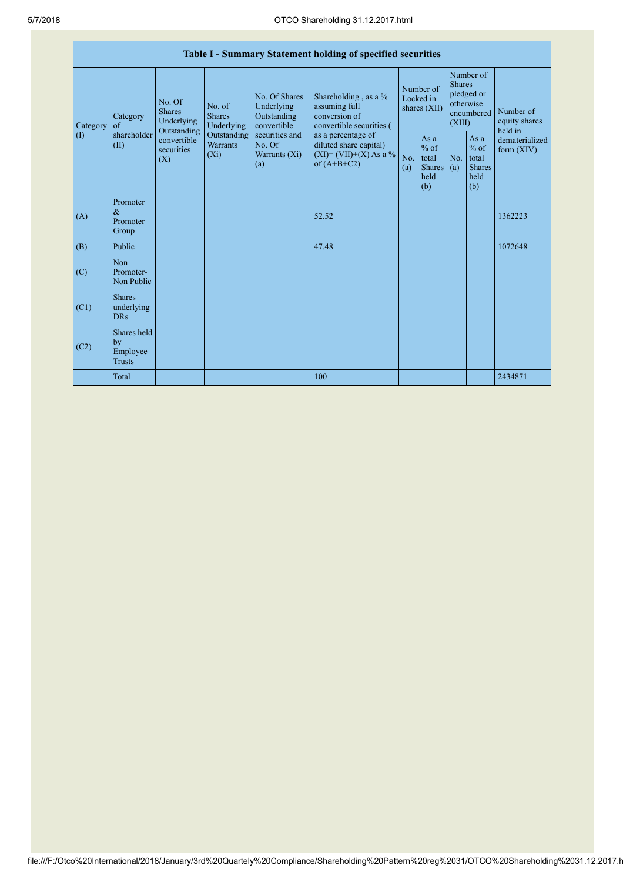| Table I - Summary Statement holding of specified securities |                                                |                                                 |                                           |                                                           |                                                                                                                                                                                  |                                          |                                                         |                                                                               |                                                         |                                       |
|-------------------------------------------------------------|------------------------------------------------|-------------------------------------------------|-------------------------------------------|-----------------------------------------------------------|----------------------------------------------------------------------------------------------------------------------------------------------------------------------------------|------------------------------------------|---------------------------------------------------------|-------------------------------------------------------------------------------|---------------------------------------------------------|---------------------------------------|
| Category                                                    | Category<br>$\alpha$ f                         | No. Of<br><b>Shares</b><br>Underlying           | No. of<br><b>Shares</b><br>Underlying     | No. Of Shares<br>Underlying<br>Outstanding<br>convertible | Shareholding, as a %<br>assuming full<br>conversion of<br>convertible securities (<br>as a percentage of<br>diluted share capital)<br>$(XI) = (VII)+(X) As a %$<br>of $(A+B+C2)$ | Number of<br>Locked in<br>shares $(XII)$ |                                                         | Number of<br><b>Shares</b><br>pledged or<br>otherwise<br>encumbered<br>(XIII) |                                                         | Number of<br>equity shares<br>held in |
| $\left( \mathrm{I}\right)$                                  | shareholder<br>(II)                            | Outstanding<br>convertible<br>securities<br>(X) | Outstanding<br><b>Warrants</b><br>$(X_i)$ | securities and<br>No. Of<br>Warrants $(Xi)$<br>(a)        |                                                                                                                                                                                  | No.<br>(a)                               | As a<br>$%$ of<br>total<br><b>Shares</b><br>held<br>(b) | No.<br>(a)                                                                    | As a<br>$%$ of<br>total<br><b>Shares</b><br>held<br>(b) | dematerialized<br>form $(XIV)$        |
| (A)                                                         | Promoter<br>$\&$<br>Promoter<br>Group          |                                                 |                                           |                                                           | 52.52                                                                                                                                                                            |                                          |                                                         |                                                                               |                                                         | 1362223                               |
| (B)                                                         | Public                                         |                                                 |                                           |                                                           | 47.48                                                                                                                                                                            |                                          |                                                         |                                                                               |                                                         | 1072648                               |
| (C)                                                         | Non<br>Promoter-<br>Non Public                 |                                                 |                                           |                                                           |                                                                                                                                                                                  |                                          |                                                         |                                                                               |                                                         |                                       |
| (C1)                                                        | <b>Shares</b><br>underlying<br><b>DRs</b>      |                                                 |                                           |                                                           |                                                                                                                                                                                  |                                          |                                                         |                                                                               |                                                         |                                       |
| (C2)                                                        | Shares held<br>by<br>Employee<br><b>Trusts</b> |                                                 |                                           |                                                           |                                                                                                                                                                                  |                                          |                                                         |                                                                               |                                                         |                                       |
|                                                             | Total                                          |                                                 |                                           |                                                           | 100                                                                                                                                                                              |                                          |                                                         |                                                                               |                                                         | 2434871                               |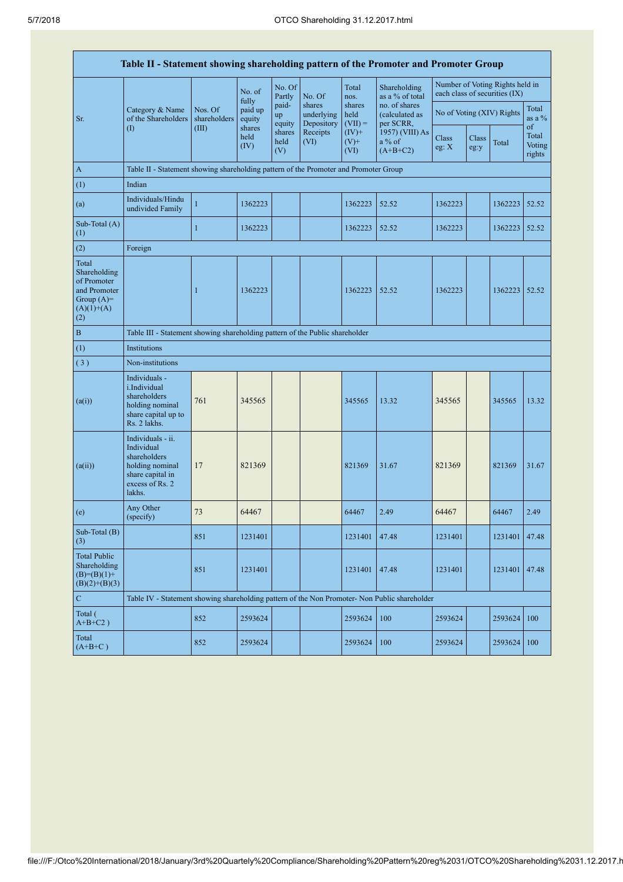| Table II - Statement showing shareholding pattern of the Promoter and Promoter Group        |                                                                                                                     |                         |                            |                       |                                    |                             |                                              |                |               |                                                                  |                           |
|---------------------------------------------------------------------------------------------|---------------------------------------------------------------------------------------------------------------------|-------------------------|----------------------------|-----------------------|------------------------------------|-----------------------------|----------------------------------------------|----------------|---------------|------------------------------------------------------------------|---------------------------|
|                                                                                             |                                                                                                                     |                         | No. of                     | No. Of<br>Partly      | No. Of                             | Total<br>nos.               | Shareholding<br>as a % of total              |                |               | Number of Voting Rights held in<br>each class of securities (IX) |                           |
| Sr.                                                                                         | Category & Name<br>of the Shareholders                                                                              | Nos. Of<br>shareholders | fully<br>paid up<br>equity | paid-<br>up<br>equity | shares<br>underlying<br>Depository | shares<br>held<br>$(VII) =$ | no. of shares<br>(calculated as<br>per SCRR, |                |               | No of Voting (XIV) Rights                                        | Total<br>as a $%$<br>of   |
|                                                                                             | $\left( \Gamma \right)$                                                                                             | (III)                   | shares<br>held<br>(IV)     | shares<br>held<br>(V) | Receipts<br>(VI)                   | $(IV)+$<br>$(V)$ +<br>(VI)  | 1957) (VIII) As<br>a % of<br>$(A+B+C2)$      | Class<br>eg: X | Class<br>eg:y | Total                                                            | Total<br>Voting<br>rights |
| $\mathbf{A}$                                                                                | Table II - Statement showing shareholding pattern of the Promoter and Promoter Group                                |                         |                            |                       |                                    |                             |                                              |                |               |                                                                  |                           |
| (1)                                                                                         | Indian                                                                                                              |                         |                            |                       |                                    |                             |                                              |                |               |                                                                  |                           |
| (a)                                                                                         | Individuals/Hindu<br>undivided Family                                                                               | $\mathbf{1}$            | 1362223                    |                       |                                    | 1362223                     | 52.52                                        | 1362223        |               | 1362223                                                          | 52.52                     |
| Sub-Total (A)<br>(1)                                                                        |                                                                                                                     | $\mathbf{1}$            | 1362223                    |                       |                                    | 1362223                     | 52.52                                        | 1362223        |               | 1362223                                                          | 52.52                     |
| (2)                                                                                         | Foreign                                                                                                             |                         |                            |                       |                                    |                             |                                              |                |               |                                                                  |                           |
| Total<br>Shareholding<br>of Promoter<br>and Promoter<br>Group $(A)=$<br>$(A)(1)+(A)$<br>(2) |                                                                                                                     | 1                       | 1362223                    |                       |                                    | 1362223                     | 52.52                                        | 1362223        |               | 1362223                                                          | 52.52                     |
| $\, {\bf B}$                                                                                | Table III - Statement showing shareholding pattern of the Public shareholder                                        |                         |                            |                       |                                    |                             |                                              |                |               |                                                                  |                           |
| (1)                                                                                         | Institutions                                                                                                        |                         |                            |                       |                                    |                             |                                              |                |               |                                                                  |                           |
| (3)                                                                                         | Non-institutions                                                                                                    |                         |                            |                       |                                    |                             |                                              |                |               |                                                                  |                           |
| (a(i))                                                                                      | Individuals -<br><i>i.Individual</i><br>shareholders<br>holding nominal<br>share capital up to<br>Rs. 2 lakhs.      | 761                     | 345565                     |                       |                                    | 345565                      | 13.32                                        | 345565         |               | 345565                                                           | 13.32                     |
| (a(ii))                                                                                     | Individuals - ii.<br>Individual<br>shareholders<br>holding nominal<br>share capital in<br>excess of Rs. 2<br>lakhs. | 17                      | 821369                     |                       |                                    | 821369                      | 31.67                                        | 821369         |               | 821369                                                           | 31.67                     |
| (e)                                                                                         | Any Other<br>(specify)                                                                                              | 73                      | 64467                      |                       |                                    | 64467                       | 2.49                                         | 64467          |               | 64467                                                            | 2.49                      |
| Sub-Total (B)<br>(3)                                                                        |                                                                                                                     | 851                     | 1231401                    |                       |                                    | 1231401                     | 47.48                                        | 1231401        |               | 1231401                                                          | 47.48                     |
| <b>Total Public</b><br>Shareholding<br>$(B)=(B)(1)+$<br>$(B)(2)+(B)(3)$                     |                                                                                                                     | 851                     | 1231401                    |                       |                                    | 1231401                     | 47.48                                        | 1231401        |               | 1231401                                                          | 47.48                     |
| ${\bf C}$                                                                                   | Table IV - Statement showing shareholding pattern of the Non Promoter- Non Public shareholder                       |                         |                            |                       |                                    |                             |                                              |                |               |                                                                  |                           |
| Total (<br>$A+B+C2$ )                                                                       |                                                                                                                     | 852                     | 2593624                    |                       |                                    | 2593624                     | 100                                          | 2593624        |               | 2593624                                                          | 100                       |
| Total<br>$(A+B+C)$                                                                          |                                                                                                                     | 852                     | 2593624                    |                       |                                    | 2593624                     | 100                                          | 2593624        |               | 2593624                                                          | 100                       |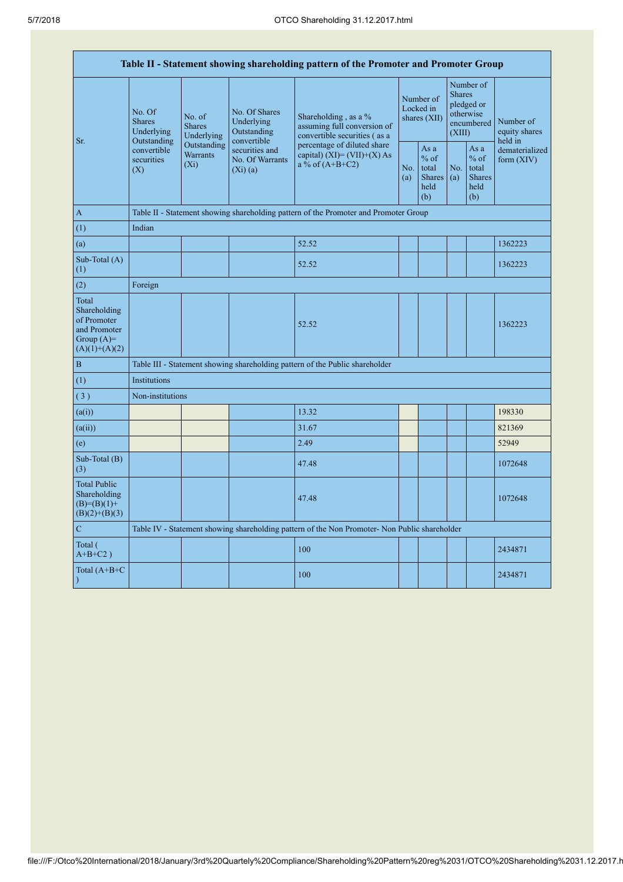|                                                                                         |                                       |                                           |                                                                | Table II - Statement showing shareholding pattern of the Promoter and Promoter Group          |            |                                                         |                                                                               |                                                         |                                                                         |
|-----------------------------------------------------------------------------------------|---------------------------------------|-------------------------------------------|----------------------------------------------------------------|-----------------------------------------------------------------------------------------------|------------|---------------------------------------------------------|-------------------------------------------------------------------------------|---------------------------------------------------------|-------------------------------------------------------------------------|
|                                                                                         | No. Of<br><b>Shares</b><br>Underlying | No. of<br><b>Shares</b><br>Underlying     | No. Of Shares<br>Underlying<br>Outstanding                     | Shareholding, as a %<br>assuming full conversion of<br>convertible securities (as a           |            | Number of<br>Locked in<br>shares (XII)                  | Number of<br><b>Shares</b><br>pledged or<br>otherwise<br>encumbered<br>(XIII) |                                                         | Number of<br>equity shares<br>held in<br>dematerialized<br>form $(XIV)$ |
| Outstanding<br>Sr.<br>convertible<br>securities<br>(X)                                  |                                       | Outstanding<br><b>Warrants</b><br>$(X_i)$ | convertible<br>securities and<br>No. Of Warrants<br>$(Xi)$ (a) | percentage of diluted share<br>capital) $(XI) = (VII)+(X) As$<br>a % of $(A+B+C2)$            | No.<br>(a) | As a<br>$%$ of<br>total<br><b>Shares</b><br>held<br>(b) | No.<br>(a)                                                                    | As a<br>$%$ of<br>total<br><b>Shares</b><br>held<br>(b) |                                                                         |
| $\mathbf{A}$                                                                            |                                       |                                           |                                                                | Table II - Statement showing shareholding pattern of the Promoter and Promoter Group          |            |                                                         |                                                                               |                                                         |                                                                         |
| (1)                                                                                     | Indian                                |                                           |                                                                |                                                                                               |            |                                                         |                                                                               |                                                         |                                                                         |
| (a)                                                                                     |                                       |                                           |                                                                | 52.52                                                                                         |            |                                                         |                                                                               |                                                         | 1362223                                                                 |
| Sub-Total (A)<br>(1)                                                                    |                                       |                                           |                                                                | 52.52                                                                                         |            |                                                         |                                                                               |                                                         | 1362223                                                                 |
| (2)                                                                                     | Foreign                               |                                           |                                                                |                                                                                               |            |                                                         |                                                                               |                                                         |                                                                         |
| Total<br>Shareholding<br>of Promoter<br>and Promoter<br>Group $(A)=$<br>$(A)(1)+(A)(2)$ |                                       |                                           |                                                                | 52.52                                                                                         |            |                                                         |                                                                               |                                                         | 1362223                                                                 |
| $\, {\bf B}$                                                                            |                                       |                                           |                                                                | Table III - Statement showing shareholding pattern of the Public shareholder                  |            |                                                         |                                                                               |                                                         |                                                                         |
| (1)                                                                                     | Institutions                          |                                           |                                                                |                                                                                               |            |                                                         |                                                                               |                                                         |                                                                         |
| (3)                                                                                     | Non-institutions                      |                                           |                                                                |                                                                                               |            |                                                         |                                                                               |                                                         |                                                                         |
| (a(i))                                                                                  |                                       |                                           |                                                                | 13.32                                                                                         |            |                                                         |                                                                               |                                                         | 198330                                                                  |
| (a(ii))                                                                                 |                                       |                                           |                                                                | 31.67                                                                                         |            |                                                         |                                                                               |                                                         | 821369                                                                  |
| (e)                                                                                     |                                       |                                           |                                                                | 2.49                                                                                          |            |                                                         |                                                                               |                                                         | 52949                                                                   |
| Sub-Total (B)<br>(3)                                                                    |                                       |                                           |                                                                | 47.48                                                                                         |            |                                                         |                                                                               |                                                         | 1072648                                                                 |
| <b>Total Public</b><br>Shareholding<br>$(B)= (B)(1) +$<br>$(B)(2)+(B)(3)$               |                                       |                                           |                                                                | 47.48                                                                                         |            |                                                         |                                                                               |                                                         | 1072648                                                                 |
| $\mathbf C$                                                                             |                                       |                                           |                                                                | Table IV - Statement showing shareholding pattern of the Non Promoter- Non Public shareholder |            |                                                         |                                                                               |                                                         |                                                                         |
| Total (<br>$A+B+C2$ )                                                                   |                                       |                                           |                                                                | 100                                                                                           |            |                                                         |                                                                               |                                                         | 2434871                                                                 |
| Total $(A+B+C)$<br>$\mathcal{E}$                                                        |                                       |                                           |                                                                | 100                                                                                           |            |                                                         |                                                                               |                                                         | 2434871                                                                 |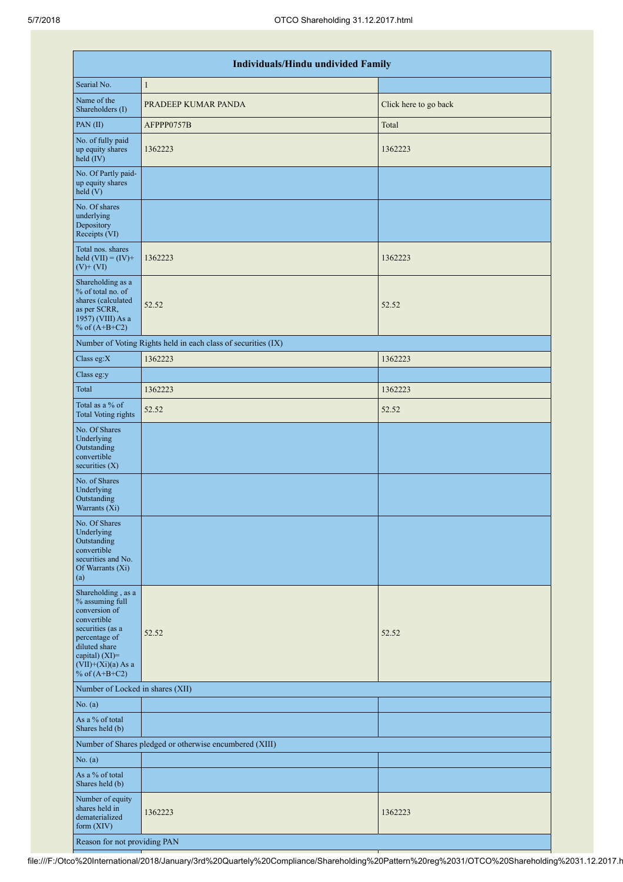| Individuals/Hindu undivided Family                                                                                                                                                       |                                                               |                       |  |  |  |  |  |
|------------------------------------------------------------------------------------------------------------------------------------------------------------------------------------------|---------------------------------------------------------------|-----------------------|--|--|--|--|--|
| Searial No.                                                                                                                                                                              | $\mathbf{1}$                                                  |                       |  |  |  |  |  |
| Name of the<br>Shareholders (I)                                                                                                                                                          | PRADEEP KUMAR PANDA                                           | Click here to go back |  |  |  |  |  |
| PAN(II)                                                                                                                                                                                  | AFPPP0757B                                                    | Total                 |  |  |  |  |  |
| No. of fully paid<br>up equity shares<br>held (IV)                                                                                                                                       | 1362223                                                       | 1362223               |  |  |  |  |  |
| No. Of Partly paid-<br>up equity shares<br>held(V)                                                                                                                                       |                                                               |                       |  |  |  |  |  |
| No. Of shares<br>underlying<br>Depository<br>Receipts (VI)                                                                                                                               |                                                               |                       |  |  |  |  |  |
| Total nos. shares<br>held $(VII) = (IV) +$<br>$(V)+(VI)$                                                                                                                                 | 1362223                                                       | 1362223               |  |  |  |  |  |
| Shareholding as a<br>% of total no. of<br>shares (calculated<br>as per SCRR,<br>$1957$ ) (VIII) As a<br>% of $(A+B+C2)$                                                                  | 52.52                                                         | 52.52                 |  |  |  |  |  |
|                                                                                                                                                                                          | Number of Voting Rights held in each class of securities (IX) |                       |  |  |  |  |  |
| Class eg:X                                                                                                                                                                               | 1362223                                                       | 1362223               |  |  |  |  |  |
| Class eg:y                                                                                                                                                                               |                                                               |                       |  |  |  |  |  |
| Total                                                                                                                                                                                    | 1362223                                                       | 1362223               |  |  |  |  |  |
| Total as a % of<br><b>Total Voting rights</b>                                                                                                                                            | 52.52                                                         | 52.52                 |  |  |  |  |  |
| No. Of Shares<br>Underlying<br>Outstanding<br>convertible<br>securities $(X)$                                                                                                            |                                                               |                       |  |  |  |  |  |
| No. of Shares<br>Underlying<br>Outstanding<br>Warrants (Xi)                                                                                                                              |                                                               |                       |  |  |  |  |  |
| No. Of Shares<br>Underlying<br>Outstanding<br>convertible<br>securities and No.<br>Of Warrants (Xi)<br>(a)                                                                               |                                                               |                       |  |  |  |  |  |
| Shareholding, as a<br>% assuming full<br>conversion of<br>convertible<br>securities (as a<br>percentage of<br>diluted share<br>capital) (XI)=<br>$(VII)+(Xi)(a)$ As a<br>% of $(A+B+C2)$ | 52.52                                                         | 52.52                 |  |  |  |  |  |
| Number of Locked in shares (XII)                                                                                                                                                         |                                                               |                       |  |  |  |  |  |
| No. (a)                                                                                                                                                                                  |                                                               |                       |  |  |  |  |  |
| As a % of total<br>Shares held (b)                                                                                                                                                       |                                                               |                       |  |  |  |  |  |
|                                                                                                                                                                                          | Number of Shares pledged or otherwise encumbered (XIII)       |                       |  |  |  |  |  |
| No. (a)                                                                                                                                                                                  |                                                               |                       |  |  |  |  |  |
| As a % of total<br>Shares held (b)                                                                                                                                                       |                                                               |                       |  |  |  |  |  |
| Number of equity<br>shares held in<br>dematerialized<br>form (XIV)                                                                                                                       | 1362223                                                       | 1362223               |  |  |  |  |  |
| Reason for not providing PAN                                                                                                                                                             |                                                               |                       |  |  |  |  |  |

file:///F:/Otco%20International/2018/January/3rd%20Quartely%20Compliance/Shareholding%20Pattern%20reg%2031/OTCO%20Shareholding%2031.12.2017.h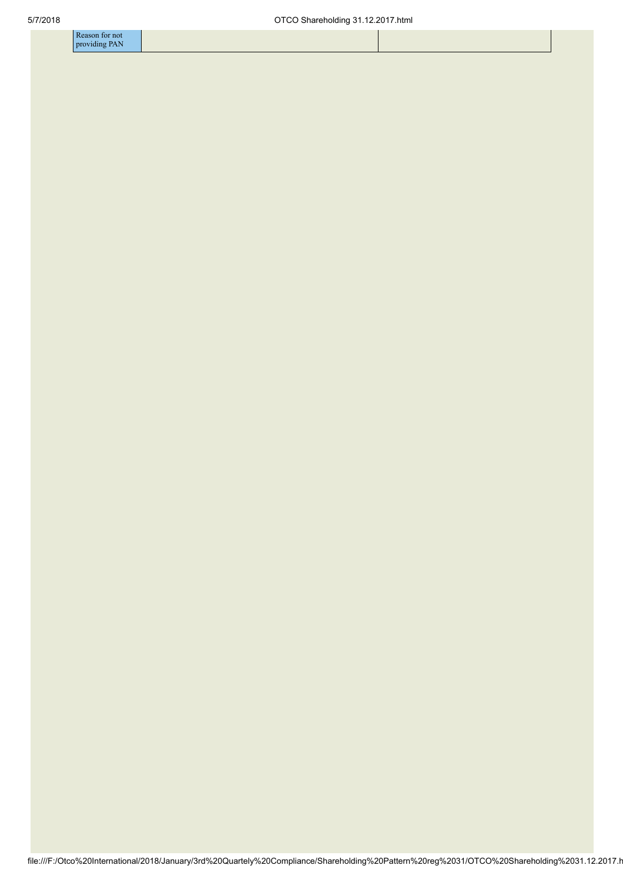| Reason for not |
|----------------|
|                |
| providing PAN  |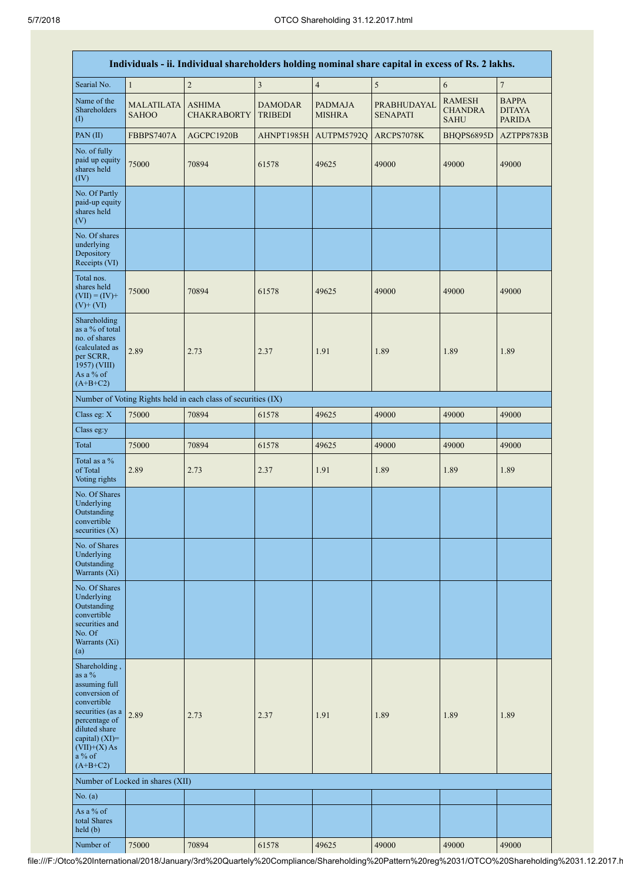|                                                                                                                                                                                                   |                                   | Individuals - ii. Individual shareholders holding nominal share capital in excess of Rs. 2 lakhs. |                                  |                                 |                                |                                                |                                                |
|---------------------------------------------------------------------------------------------------------------------------------------------------------------------------------------------------|-----------------------------------|---------------------------------------------------------------------------------------------------|----------------------------------|---------------------------------|--------------------------------|------------------------------------------------|------------------------------------------------|
| Searial No.                                                                                                                                                                                       | $\mathbf{1}$                      | $\sqrt{2}$                                                                                        | $\overline{\mathbf{3}}$          | $\overline{4}$                  | 5                              | $\sqrt{6}$                                     | $\overline{7}$                                 |
| Name of the<br>Shareholders<br>$\left( \mathrm{I}\right)$                                                                                                                                         | <b>MALATILATA</b><br><b>SAHOO</b> | <b>ASHIMA</b><br><b>CHAKRABORTY</b>                                                               | <b>DAMODAR</b><br><b>TRIBEDI</b> | <b>PADMAJA</b><br><b>MISHRA</b> | PRABHUDAYAL<br><b>SENAPATI</b> | <b>RAMESH</b><br><b>CHANDRA</b><br><b>SAHU</b> | <b>BAPPA</b><br><b>DITAYA</b><br><b>PARIDA</b> |
| PAN (II)                                                                                                                                                                                          | FBBPS7407A                        | AGCPC1920B                                                                                        | AHNPT1985H                       | AUTPM5792Q                      | ARCPS7078K                     | BHQPS6895D                                     | AZTPP8783B                                     |
| No. of fully<br>paid up equity<br>shares held<br>(IV)                                                                                                                                             | 75000                             | 70894                                                                                             | 61578                            | 49625                           | 49000                          | 49000                                          | 49000                                          |
| No. Of Partly<br>paid-up equity<br>shares held<br>(V)                                                                                                                                             |                                   |                                                                                                   |                                  |                                 |                                |                                                |                                                |
| No. Of shares<br>underlying<br>Depository<br>Receipts (VI)                                                                                                                                        |                                   |                                                                                                   |                                  |                                 |                                |                                                |                                                |
| Total nos.<br>shares held<br>$(VII) = (IV) +$<br>$(V)$ + $(VI)$                                                                                                                                   | 75000                             | 70894                                                                                             | 61578                            | 49625                           | 49000                          | 49000                                          | 49000                                          |
| Shareholding<br>as a % of total<br>no. of shares<br>(calculated as<br>per SCRR,<br>1957) (VIII)<br>As a % of<br>$(A+B+C2)$                                                                        | 2.89                              | 2.73                                                                                              | 2.37                             | 1.91                            | 1.89                           | 1.89                                           | 1.89                                           |
|                                                                                                                                                                                                   |                                   | Number of Voting Rights held in each class of securities (IX)                                     |                                  |                                 |                                |                                                |                                                |
| Class eg: X                                                                                                                                                                                       | 75000                             | 70894                                                                                             | 61578                            | 49625                           | 49000                          | 49000                                          | 49000                                          |
| Class eg:y                                                                                                                                                                                        |                                   |                                                                                                   |                                  |                                 |                                |                                                |                                                |
| Total                                                                                                                                                                                             | 75000                             | 70894                                                                                             | 61578                            | 49625                           | 49000                          | 49000                                          | 49000                                          |
| Total as a %<br>of Total<br>Voting rights                                                                                                                                                         | 2.89                              | 2.73                                                                                              | 2.37                             | 1.91                            | 1.89                           | 1.89                                           | 1.89                                           |
| No. Of Shares<br>Underlying<br>Outstanding<br>convertible<br>securities $(X)$                                                                                                                     |                                   |                                                                                                   |                                  |                                 |                                |                                                |                                                |
| No. of Shares<br>Underlying<br>Outstanding<br>Warrants (Xi)                                                                                                                                       |                                   |                                                                                                   |                                  |                                 |                                |                                                |                                                |
| No. Of Shares<br>Underlying<br>Outstanding<br>convertible<br>securities and<br>No. Of<br>Warrants (Xi)<br>(a)                                                                                     |                                   |                                                                                                   |                                  |                                 |                                |                                                |                                                |
| Shareholding,<br>as a $%$<br>assuming full<br>conversion of<br>convertible<br>securities (as a<br>percentage of<br>diluted share<br>capital) $(XI)$ =<br>$(VII)+(X) As$<br>$a\%$ of<br>$(A+B+C2)$ | 2.89                              | 2.73                                                                                              | 2.37                             | 1.91                            | 1.89                           | 1.89                                           | 1.89                                           |
|                                                                                                                                                                                                   | Number of Locked in shares (XII)  |                                                                                                   |                                  |                                 |                                |                                                |                                                |
| No. (a)                                                                                                                                                                                           |                                   |                                                                                                   |                                  |                                 |                                |                                                |                                                |
| As a % of<br>total Shares<br>held(b)                                                                                                                                                              |                                   |                                                                                                   |                                  |                                 |                                |                                                |                                                |
| Number of                                                                                                                                                                                         | 75000                             | 70894                                                                                             | 61578                            | 49625                           | 49000                          | 49000                                          | 49000                                          |

file:///F:/Otco%20International/2018/January/3rd%20Quartely%20Compliance/Shareholding%20Pattern%20reg%2031/OTCO%20Shareholding%2031.12.2017.h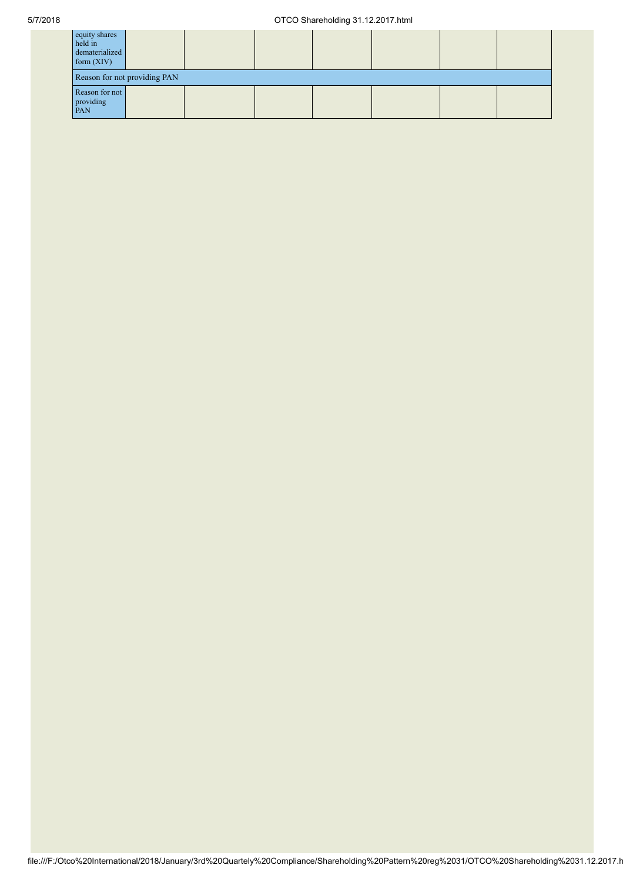| equity shares<br>held in<br>dematerialized<br>form $(XIV)$ |  |  |  |  |  |  |  |
|------------------------------------------------------------|--|--|--|--|--|--|--|
| Reason for not providing PAN                               |  |  |  |  |  |  |  |
| Reason for not<br>providing<br>PAN                         |  |  |  |  |  |  |  |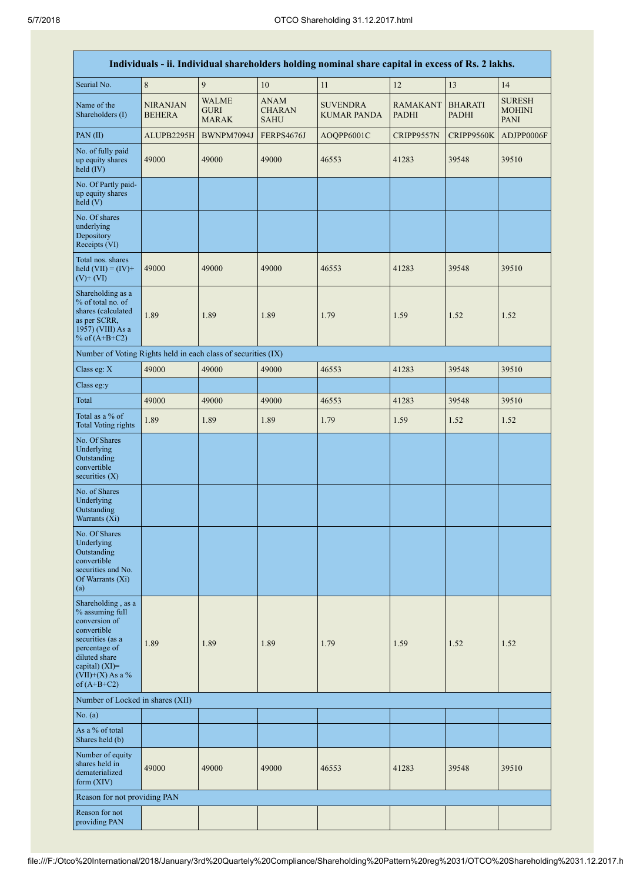|                                                                                                                                                                                         |                                  |                                             |                                             | Individuals - ii. Individual shareholders holding nominal share capital in excess of Rs. 2 lakhs. |                                 |                                |                                               |
|-----------------------------------------------------------------------------------------------------------------------------------------------------------------------------------------|----------------------------------|---------------------------------------------|---------------------------------------------|---------------------------------------------------------------------------------------------------|---------------------------------|--------------------------------|-----------------------------------------------|
| Searial No.                                                                                                                                                                             | $\,$ $\,$                        | 9                                           | 10                                          | 11                                                                                                | 12                              | 13                             | 14                                            |
| Name of the<br>Shareholders (I)                                                                                                                                                         | <b>NIRANJAN</b><br><b>BEHERA</b> | <b>WALME</b><br><b>GURI</b><br><b>MARAK</b> | <b>ANAM</b><br><b>CHARAN</b><br><b>SAHU</b> | <b>SUVENDRA</b><br><b>KUMAR PANDA</b>                                                             | <b>RAMAKANT</b><br><b>PADHI</b> | <b>BHARATI</b><br><b>PADHI</b> | <b>SURESH</b><br><b>MOHINI</b><br><b>PANI</b> |
| PAN(II)                                                                                                                                                                                 | ALUPB2295H                       | BWNPM7094J                                  | FERPS4676J                                  | AOQPP6001C                                                                                        | CRIPP9557N                      | CRIPP9560K                     | ADJPP0006F                                    |
| No. of fully paid<br>up equity shares<br>held $(IV)$                                                                                                                                    | 49000                            | 49000                                       | 49000                                       | 46553                                                                                             | 41283                           | 39548                          | 39510                                         |
| No. Of Partly paid-<br>up equity shares<br>held(V)                                                                                                                                      |                                  |                                             |                                             |                                                                                                   |                                 |                                |                                               |
| No. Of shares<br>underlying<br>Depository<br>Receipts (VI)                                                                                                                              |                                  |                                             |                                             |                                                                                                   |                                 |                                |                                               |
| Total nos. shares<br>held $(VII) = (IV) +$<br>$(V)$ + $(VI)$                                                                                                                            | 49000                            | 49000                                       | 49000                                       | 46553                                                                                             | 41283                           | 39548                          | 39510                                         |
| Shareholding as a<br>% of total no. of<br>shares (calculated<br>as per SCRR,<br>1957) (VIII) As a<br>% of $(A+B+C2)$                                                                    | 1.89                             | 1.89                                        | 1.89                                        | 1.79                                                                                              | 1.59                            | 1.52                           | 1.52                                          |
| Number of Voting Rights held in each class of securities (IX)                                                                                                                           |                                  |                                             |                                             |                                                                                                   |                                 |                                |                                               |
| Class eg: $X$                                                                                                                                                                           | 49000                            | 49000                                       | 49000                                       | 46553                                                                                             | 41283                           | 39548                          | 39510                                         |
| Class eg:y                                                                                                                                                                              |                                  |                                             |                                             |                                                                                                   |                                 |                                |                                               |
| Total                                                                                                                                                                                   | 49000                            | 49000                                       | 49000                                       | 46553                                                                                             | 41283                           | 39548                          | 39510                                         |
| Total as a % of<br><b>Total Voting rights</b>                                                                                                                                           | 1.89                             | 1.89                                        | 1.89                                        | 1.79                                                                                              | 1.59                            | 1.52                           | 1.52                                          |
| No. Of Shares<br>Underlying<br>Outstanding<br>convertible<br>securities $(X)$                                                                                                           |                                  |                                             |                                             |                                                                                                   |                                 |                                |                                               |
| No. of Shares<br>Underlying<br>Outstanding<br>Warrants (Xi)                                                                                                                             |                                  |                                             |                                             |                                                                                                   |                                 |                                |                                               |
| No. Of Shares<br>Underlying<br>Outstanding<br>convertible<br>securities and No.<br>Of Warrants (Xi)<br>(a)                                                                              |                                  |                                             |                                             |                                                                                                   |                                 |                                |                                               |
| Shareholding, as a<br>% assuming full<br>conversion of<br>convertible<br>securities (as a<br>percentage of<br>diluted share<br>capital) $(XI)$ =<br>$(VII)+(X)$ As a %<br>of $(A+B+C2)$ | 1.89                             | 1.89                                        | 1.89                                        | 1.79                                                                                              | 1.59                            | 1.52                           | 1.52                                          |
| Number of Locked in shares (XII)                                                                                                                                                        |                                  |                                             |                                             |                                                                                                   |                                 |                                |                                               |
| No. $(a)$                                                                                                                                                                               |                                  |                                             |                                             |                                                                                                   |                                 |                                |                                               |
| As a % of total<br>Shares held (b)                                                                                                                                                      |                                  |                                             |                                             |                                                                                                   |                                 |                                |                                               |
| Number of equity<br>shares held in<br>dematerialized<br>form $(XIV)$                                                                                                                    | 49000                            | 49000                                       | 49000                                       | 46553                                                                                             | 41283                           | 39548                          | 39510                                         |
| Reason for not providing PAN                                                                                                                                                            |                                  |                                             |                                             |                                                                                                   |                                 |                                |                                               |
| Reason for not<br>providing PAN                                                                                                                                                         |                                  |                                             |                                             |                                                                                                   |                                 |                                |                                               |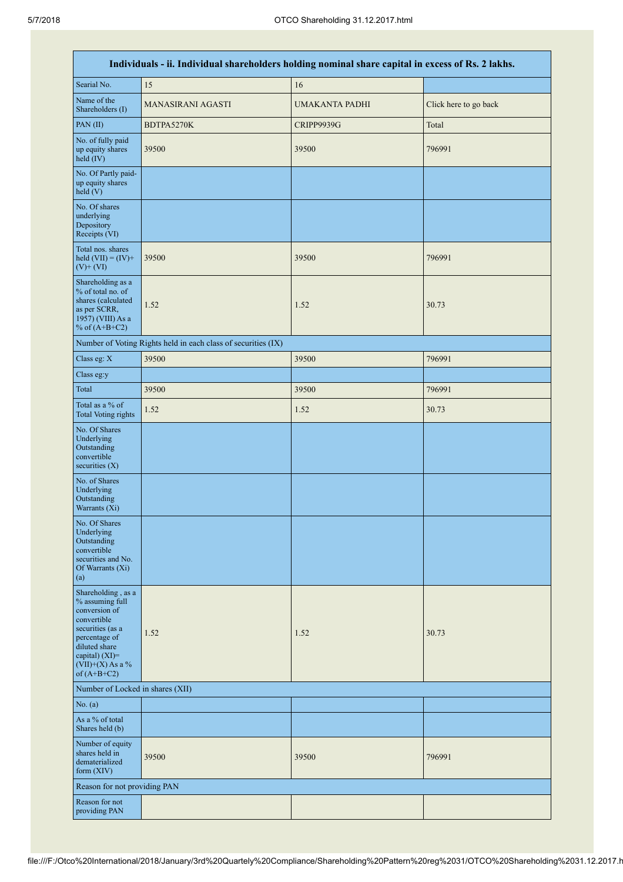| Individuals - ii. Individual shareholders holding nominal share capital in excess of Rs. 2 lakhs.                                                                                       |                                                               |                |                       |  |  |  |  |
|-----------------------------------------------------------------------------------------------------------------------------------------------------------------------------------------|---------------------------------------------------------------|----------------|-----------------------|--|--|--|--|
| Searial No.                                                                                                                                                                             | 15                                                            | 16             |                       |  |  |  |  |
| Name of the<br>Shareholders (I)                                                                                                                                                         | <b>MANASIRANI AGASTI</b>                                      | UMAKANTA PADHI | Click here to go back |  |  |  |  |
| PAN(II)                                                                                                                                                                                 | BDTPA5270K                                                    | CRIPP9939G     | Total                 |  |  |  |  |
| No. of fully paid<br>up equity shares<br>held (IV)                                                                                                                                      | 39500                                                         | 39500          | 796991                |  |  |  |  |
| No. Of Partly paid-<br>up equity shares<br>held(V)                                                                                                                                      |                                                               |                |                       |  |  |  |  |
| No. Of shares<br>underlying<br>Depository<br>Receipts (VI)                                                                                                                              |                                                               |                |                       |  |  |  |  |
| Total nos. shares<br>held $(VII) = (IV) +$<br>$(V)$ + $(VI)$                                                                                                                            | 39500                                                         | 39500          | 796991                |  |  |  |  |
| Shareholding as a<br>% of total no. of<br>shares (calculated<br>as per SCRR,<br>1957) (VIII) As a<br>% of $(A+B+C2)$                                                                    | 1.52                                                          | 1.52           | 30.73                 |  |  |  |  |
|                                                                                                                                                                                         | Number of Voting Rights held in each class of securities (IX) |                |                       |  |  |  |  |
| Class eg: X                                                                                                                                                                             | 39500                                                         | 39500          | 796991                |  |  |  |  |
| Class eg:y                                                                                                                                                                              |                                                               |                |                       |  |  |  |  |
| Total                                                                                                                                                                                   | 39500                                                         | 39500          | 796991                |  |  |  |  |
| Total as a % of<br><b>Total Voting rights</b>                                                                                                                                           | 1.52                                                          | 1.52           | 30.73                 |  |  |  |  |
| No. Of Shares<br>Underlying<br>Outstanding<br>convertible<br>securities $(X)$                                                                                                           |                                                               |                |                       |  |  |  |  |
| No. of Shares<br>Underlying<br>Outstanding<br>Warrants (Xi)                                                                                                                             |                                                               |                |                       |  |  |  |  |
| No. Of Shares<br>Underlying<br>Outstanding<br>convertible<br>securities and No.<br>Of Warrants (Xi)<br>(a)                                                                              |                                                               |                |                       |  |  |  |  |
| Shareholding, as a<br>% assuming full<br>conversion of<br>convertible<br>securities (as a<br>percentage of<br>diluted share<br>capital) $(XI)$ =<br>$(VII)+(X)$ As a %<br>of $(A+B+C2)$ | 1.52                                                          | 1.52           | 30.73                 |  |  |  |  |
| Number of Locked in shares (XII)                                                                                                                                                        |                                                               |                |                       |  |  |  |  |
| No. (a)                                                                                                                                                                                 |                                                               |                |                       |  |  |  |  |
| As a % of total<br>Shares held (b)                                                                                                                                                      |                                                               |                |                       |  |  |  |  |
| Number of equity<br>shares held in<br>dematerialized<br>form $(XIV)$                                                                                                                    | 39500                                                         | 39500          | 796991                |  |  |  |  |
| Reason for not providing PAN                                                                                                                                                            |                                                               |                |                       |  |  |  |  |
| Reason for not<br>providing PAN                                                                                                                                                         |                                                               |                |                       |  |  |  |  |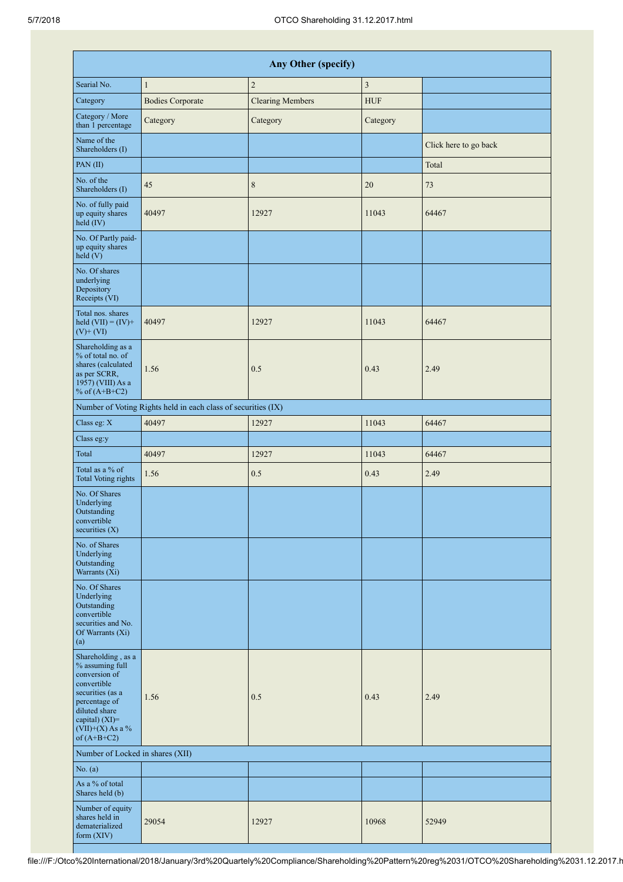| Any Other (specify)                                                                                                                                                                  |                                                               |                         |            |                       |  |  |  |  |
|--------------------------------------------------------------------------------------------------------------------------------------------------------------------------------------|---------------------------------------------------------------|-------------------------|------------|-----------------------|--|--|--|--|
| Searial No.                                                                                                                                                                          | $\mathbf{1}$                                                  | $\sqrt{2}$              | 3          |                       |  |  |  |  |
| Category                                                                                                                                                                             | <b>Bodies Corporate</b>                                       | <b>Clearing Members</b> | <b>HUF</b> |                       |  |  |  |  |
| Category / More<br>than 1 percentage                                                                                                                                                 | Category                                                      | Category                | Category   |                       |  |  |  |  |
| Name of the<br>Shareholders (I)                                                                                                                                                      |                                                               |                         |            | Click here to go back |  |  |  |  |
| PAN(II)                                                                                                                                                                              |                                                               |                         |            | Total                 |  |  |  |  |
| No. of the<br>Shareholders (I)                                                                                                                                                       | 45                                                            | $\,$ 8 $\,$             | 20         | 73                    |  |  |  |  |
| No. of fully paid<br>up equity shares<br>held (IV)                                                                                                                                   | 40497                                                         | 12927                   | 11043      | 64467                 |  |  |  |  |
| No. Of Partly paid-<br>up equity shares<br>held $(V)$                                                                                                                                |                                                               |                         |            |                       |  |  |  |  |
| No. Of shares<br>underlying<br>Depository<br>Receipts (VI)                                                                                                                           |                                                               |                         |            |                       |  |  |  |  |
| Total nos. shares<br>held $(VII) = (IV) +$<br>$(V)$ + $(VI)$                                                                                                                         | 40497                                                         | 12927                   | 11043      | 64467                 |  |  |  |  |
| Shareholding as a<br>% of total no. of<br>shares (calculated<br>as per SCRR,<br>1957) (VIII) As a<br>% of $(A+B+C2)$                                                                 | 1.56                                                          | 0.5                     | 0.43       | 2.49                  |  |  |  |  |
|                                                                                                                                                                                      | Number of Voting Rights held in each class of securities (IX) |                         |            |                       |  |  |  |  |
| Class eg: X                                                                                                                                                                          | 40497                                                         | 12927                   | 11043      | 64467                 |  |  |  |  |
| Class eg:y                                                                                                                                                                           |                                                               |                         |            |                       |  |  |  |  |
| Total                                                                                                                                                                                | 40497                                                         | 12927                   | 11043      | 64467                 |  |  |  |  |
| Total as a % of<br><b>Total Voting rights</b>                                                                                                                                        | 1.56                                                          | 0.5                     | 0.43       | 2.49                  |  |  |  |  |
| No. Of Shares<br>Underlying<br>Outstanding<br>convertible<br>securities (X)                                                                                                          |                                                               |                         |            |                       |  |  |  |  |
| No. of Shares<br>Underlying<br>Outstanding<br>Warrants (Xi)                                                                                                                          |                                                               |                         |            |                       |  |  |  |  |
| No. Of Shares<br>Underlying<br>Outstanding<br>convertible<br>securities and No.<br>Of Warrants (Xi)<br>(a)                                                                           |                                                               |                         |            |                       |  |  |  |  |
| Shareholding, as a<br>% assuming full<br>conversion of<br>convertible<br>securities (as a<br>percentage of<br>diluted share<br>capital) (XI)=<br>$(VII)+(X)$ As a %<br>of $(A+B+C2)$ | 1.56                                                          | 0.5                     | 0.43       | 2.49                  |  |  |  |  |
| Number of Locked in shares (XII)                                                                                                                                                     |                                                               |                         |            |                       |  |  |  |  |
| No. (a)                                                                                                                                                                              |                                                               |                         |            |                       |  |  |  |  |
| As a % of total<br>Shares held (b)                                                                                                                                                   |                                                               |                         |            |                       |  |  |  |  |
| Number of equity<br>shares held in<br>dematerialized<br>form (XIV)                                                                                                                   | 29054                                                         | 12927                   | 10968      | 52949                 |  |  |  |  |